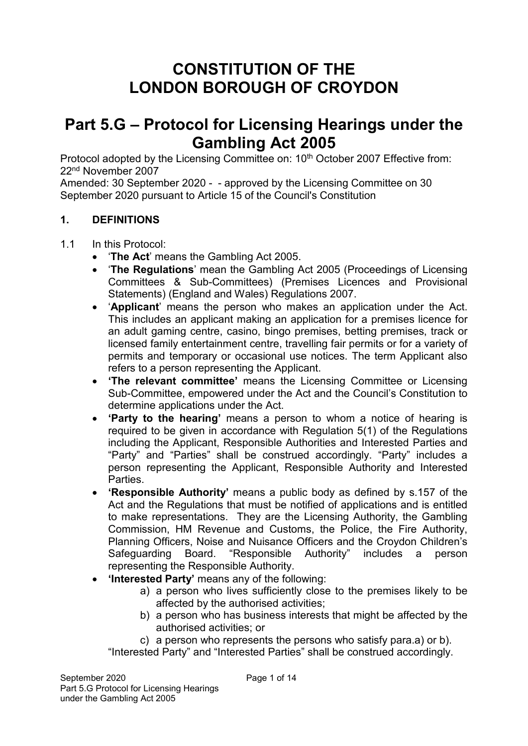# **CONSTITUTION OF THE LONDON BOROUGH OF CROYDON**

# **Part 5.G – Protocol for Licensing Hearings under the Gambling Act 2005**

Protocol adopted by the Licensing Committee on: 10<sup>th</sup> October 2007 Effective from: 22nd November 2007

Amended: 30 September 2020 - - approved by the Licensing Committee on 30 September 2020 pursuant to Article 15 of the Council's Constitution

## **1. DEFINITIONS**

1.1 In this Protocol:

- '**The Act**' means the Gambling Act 2005.
- '**The Regulations**' mean the Gambling Act 2005 (Proceedings of Licensing Committees & Sub-Committees) (Premises Licences and Provisional Statements) (England and Wales) Regulations 2007.
- '**Applicant**' means the person who makes an application under the Act. This includes an applicant making an application for a premises licence for an adult gaming centre, casino, bingo premises, betting premises, track or licensed family entertainment centre, travelling fair permits or for a variety of permits and temporary or occasional use notices. The term Applicant also refers to a person representing the Applicant.
- **'The relevant committee'** means the Licensing Committee or Licensing Sub-Committee, empowered under the Act and the Council's Constitution to determine applications under the Act.
- **'Party to the hearing'** means a person to whom a notice of hearing is required to be given in accordance with Regulation 5(1) of the Regulations including the Applicant, Responsible Authorities and Interested Parties and "Party" and "Parties" shall be construed accordingly. "Party" includes a person representing the Applicant, Responsible Authority and Interested Parties.
- **'Responsible Authority'** means a public body as defined by s.157 of the Act and the Regulations that must be notified of applications and is entitled to make representations. They are the Licensing Authority, the Gambling Commission, HM Revenue and Customs, the Police, the Fire Authority, Planning Officers, Noise and Nuisance Officers and the Croydon Children's Safeguarding Board. "Responsible Authority" includes a person representing the Responsible Authority.
- **'Interested Party'** means any of the following:
	- a) a person who lives sufficiently close to the premises likely to be affected by the authorised activities;
	- b) a person who has business interests that might be affected by the authorised activities; or

c) a person who represents the persons who satisfy para.a) or b). "Interested Party" and "Interested Parties" shall be construed accordingly.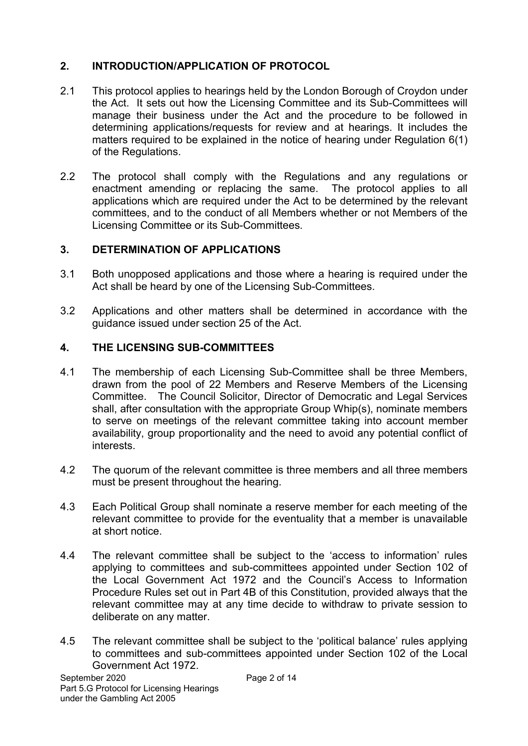# **2. INTRODUCTION/APPLICATION OF PROTOCOL**

- 2.1 This protocol applies to hearings held by the London Borough of Croydon under the Act. It sets out how the Licensing Committee and its Sub-Committees will manage their business under the Act and the procedure to be followed in determining applications/requests for review and at hearings. It includes the matters required to be explained in the notice of hearing under Regulation 6(1) of the Regulations.
- 2.2 The protocol shall comply with the Regulations and any regulations or enactment amending or replacing the same. The protocol applies to all applications which are required under the Act to be determined by the relevant committees, and to the conduct of all Members whether or not Members of the Licensing Committee or its Sub-Committees.

# **3. DETERMINATION OF APPLICATIONS**

- 3.1 Both unopposed applications and those where a hearing is required under the Act shall be heard by one of the Licensing Sub-Committees.
- 3.2 Applications and other matters shall be determined in accordance with the guidance issued under section 25 of the Act.

# **4. THE LICENSING SUB-COMMITTEES**

- 4.1 The membership of each Licensing Sub-Committee shall be three Members, drawn from the pool of 22 Members and Reserve Members of the Licensing Committee. The Council Solicitor, Director of Democratic and Legal Services shall, after consultation with the appropriate Group Whip(s), nominate members to serve on meetings of the relevant committee taking into account member availability, group proportionality and the need to avoid any potential conflict of interests.
- 4.2 The quorum of the relevant committee is three members and all three members must be present throughout the hearing.
- 4.3 Each Political Group shall nominate a reserve member for each meeting of the relevant committee to provide for the eventuality that a member is unavailable at short notice.
- 4.4 The relevant committee shall be subject to the 'access to information' rules applying to committees and sub-committees appointed under Section 102 of the Local Government Act 1972 and the Council's Access to Information Procedure Rules set out in Part 4B of this Constitution, provided always that the relevant committee may at any time decide to withdraw to private session to deliberate on any matter.
- 4.5 The relevant committee shall be subject to the 'political balance' rules applying to committees and sub-committees appointed under Section 102 of the Local Government Act 1972.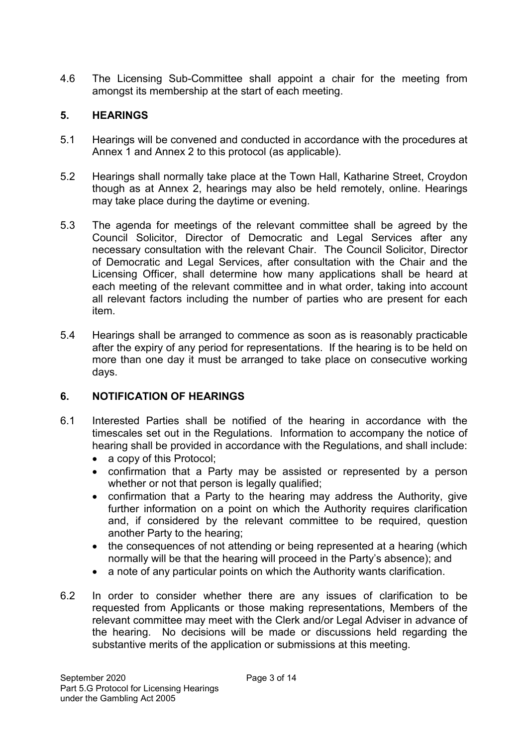4.6 The Licensing Sub-Committee shall appoint a chair for the meeting from amongst its membership at the start of each meeting.

## **5. HEARINGS**

- 5.1 Hearings will be convened and conducted in accordance with the procedures at Annex 1 and Annex 2 to this protocol (as applicable).
- 5.2 Hearings shall normally take place at the Town Hall, Katharine Street, Croydon though as at Annex 2, hearings may also be held remotely, online. Hearings may take place during the daytime or evening.
- 5.3 The agenda for meetings of the relevant committee shall be agreed by the Council Solicitor, Director of Democratic and Legal Services after any necessary consultation with the relevant Chair. The Council Solicitor, Director of Democratic and Legal Services, after consultation with the Chair and the Licensing Officer, shall determine how many applications shall be heard at each meeting of the relevant committee and in what order, taking into account all relevant factors including the number of parties who are present for each item.
- 5.4 Hearings shall be arranged to commence as soon as is reasonably practicable after the expiry of any period for representations. If the hearing is to be held on more than one day it must be arranged to take place on consecutive working days.

#### **6. NOTIFICATION OF HEARINGS**

- 6.1 Interested Parties shall be notified of the hearing in accordance with the timescales set out in the Regulations. Information to accompany the notice of hearing shall be provided in accordance with the Regulations, and shall include:
	- a copy of this Protocol;
	- confirmation that a Party may be assisted or represented by a person whether or not that person is legally qualified;
	- confirmation that a Party to the hearing may address the Authority, give further information on a point on which the Authority requires clarification and, if considered by the relevant committee to be required, question another Party to the hearing;
	- the consequences of not attending or being represented at a hearing (which normally will be that the hearing will proceed in the Party's absence); and
	- a note of any particular points on which the Authority wants clarification.
- 6.2 In order to consider whether there are any issues of clarification to be requested from Applicants or those making representations, Members of the relevant committee may meet with the Clerk and/or Legal Adviser in advance of the hearing. No decisions will be made or discussions held regarding the substantive merits of the application or submissions at this meeting.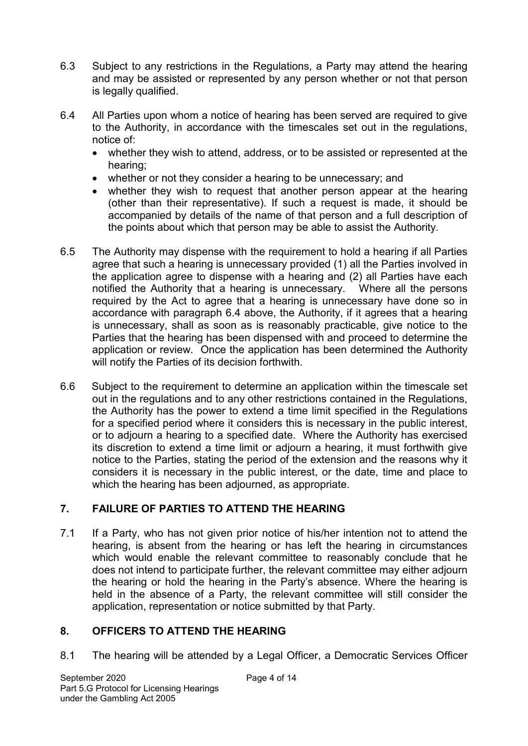- 6.3 Subject to any restrictions in the Regulations, a Party may attend the hearing and may be assisted or represented by any person whether or not that person is legally qualified.
- 6.4 All Parties upon whom a notice of hearing has been served are required to give to the Authority, in accordance with the timescales set out in the regulations, notice of:
	- whether they wish to attend, address, or to be assisted or represented at the hearing;
	- whether or not they consider a hearing to be unnecessary; and
	- whether they wish to request that another person appear at the hearing (other than their representative). If such a request is made, it should be accompanied by details of the name of that person and a full description of the points about which that person may be able to assist the Authority.
- 6.5 The Authority may dispense with the requirement to hold a hearing if all Parties agree that such a hearing is unnecessary provided (1) all the Parties involved in the application agree to dispense with a hearing and (2) all Parties have each notified the Authority that a hearing is unnecessary. Where all the persons required by the Act to agree that a hearing is unnecessary have done so in accordance with paragraph 6.4 above, the Authority, if it agrees that a hearing is unnecessary, shall as soon as is reasonably practicable, give notice to the Parties that the hearing has been dispensed with and proceed to determine the application or review. Once the application has been determined the Authority will notify the Parties of its decision forthwith.
- 6.6 Subject to the requirement to determine an application within the timescale set out in the regulations and to any other restrictions contained in the Regulations, the Authority has the power to extend a time limit specified in the Regulations for a specified period where it considers this is necessary in the public interest, or to adjourn a hearing to a specified date. Where the Authority has exercised its discretion to extend a time limit or adjourn a hearing, it must forthwith give notice to the Parties, stating the period of the extension and the reasons why it considers it is necessary in the public interest, or the date, time and place to which the hearing has been adjourned, as appropriate.

# **7. FAILURE OF PARTIES TO ATTEND THE HEARING**

7.1 If a Party, who has not given prior notice of his/her intention not to attend the hearing, is absent from the hearing or has left the hearing in circumstances which would enable the relevant committee to reasonably conclude that he does not intend to participate further, the relevant committee may either adjourn the hearing or hold the hearing in the Party's absence. Where the hearing is held in the absence of a Party, the relevant committee will still consider the application, representation or notice submitted by that Party.

# **8. OFFICERS TO ATTEND THE HEARING**

8.1 The hearing will be attended by a Legal Officer, a Democratic Services Officer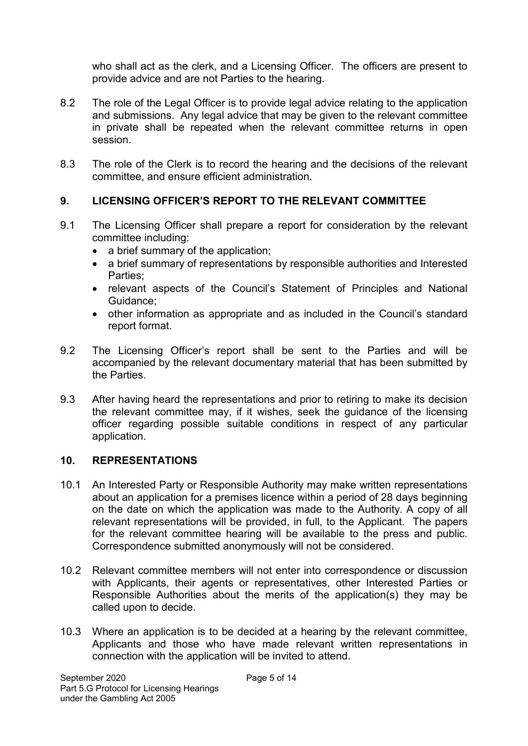who shall act as the clerk, and a Licensing Officer. The officers are present to provide advice and are not Parties to the hearing.

- 8.2 The role of the Legal Officer is to provide legal advice relating to the application and submissions. Any legal advice that may be given to the relevant committee in private shall be repeated when the relevant committee returns in open session.
- 8.3 The role of the Clerk is to record the hearing and the decisions of the relevant committee, and ensure efficient administration.

## **9. LICENSING OFFICER'S REPORT TO THE RELEVANT COMMITTEE**

- 9.1 The Licensing Officer shall prepare a report for consideration by the relevant committee including:
	- a brief summary of the application;
	- a brief summary of representations by responsible authorities and Interested Parties;
	- relevant aspects of the Council's Statement of Principles and National Guidance;
	- other information as appropriate and as included in the Council's standard report format.
- 9.2 The Licensing Officer's report shall be sent to the Parties and will be accompanied by the relevant documentary material that has been submitted by the Parties.
- 9.3 After having heard the representations and prior to retiring to make its decision the relevant committee may, if it wishes, seek the guidance of the licensing officer regarding possible suitable conditions in respect of any particular application.

#### **10. REPRESENTATIONS**

- 10.1 An Interested Party or Responsible Authority may make written representations about an application for a premises licence within a period of 28 days beginning on the date on which the application was made to the Authority. A copy of all relevant representations will be provided, in full, to the Applicant. The papers for the relevant committee hearing will be available to the press and public. Correspondence submitted anonymously will not be considered.
- 10.2 Relevant committee members will not enter into correspondence or discussion with Applicants, their agents or representatives, other Interested Parties or Responsible Authorities about the merits of the application(s) they may be called upon to decide.
- 10.3 Where an application is to be decided at a hearing by the relevant committee, Applicants and those who have made relevant written representations in connection with the application will be invited to attend.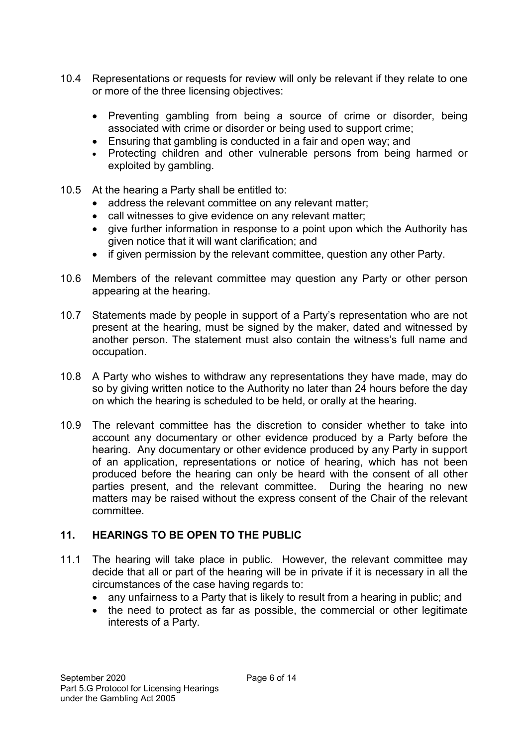- 10.4 Representations or requests for review will only be relevant if they relate to one or more of the three licensing objectives:
	- Preventing gambling from being a source of crime or disorder, being associated with crime or disorder or being used to support crime;
	- Ensuring that gambling is conducted in a fair and open way; and
	- Protecting children and other vulnerable persons from being harmed or exploited by gambling.
- 10.5 At the hearing a Party shall be entitled to:
	- address the relevant committee on any relevant matter;
	- call witnesses to give evidence on any relevant matter;
	- give further information in response to a point upon which the Authority has given notice that it will want clarification; and
	- if given permission by the relevant committee, question any other Party.
- 10.6 Members of the relevant committee may question any Party or other person appearing at the hearing.
- 10.7 Statements made by people in support of a Party's representation who are not present at the hearing, must be signed by the maker, dated and witnessed by another person. The statement must also contain the witness's full name and occupation.
- 10.8 A Party who wishes to withdraw any representations they have made, may do so by giving written notice to the Authority no later than 24 hours before the day on which the hearing is scheduled to be held, or orally at the hearing.
- 10.9 The relevant committee has the discretion to consider whether to take into account any documentary or other evidence produced by a Party before the hearing. Any documentary or other evidence produced by any Party in support of an application, representations or notice of hearing, which has not been produced before the hearing can only be heard with the consent of all other parties present, and the relevant committee. During the hearing no new matters may be raised without the express consent of the Chair of the relevant committee.

# **11. HEARINGS TO BE OPEN TO THE PUBLIC**

- 11.1 The hearing will take place in public. However, the relevant committee may decide that all or part of the hearing will be in private if it is necessary in all the circumstances of the case having regards to:
	- any unfairness to a Party that is likely to result from a hearing in public; and
	- the need to protect as far as possible, the commercial or other legitimate interests of a Party.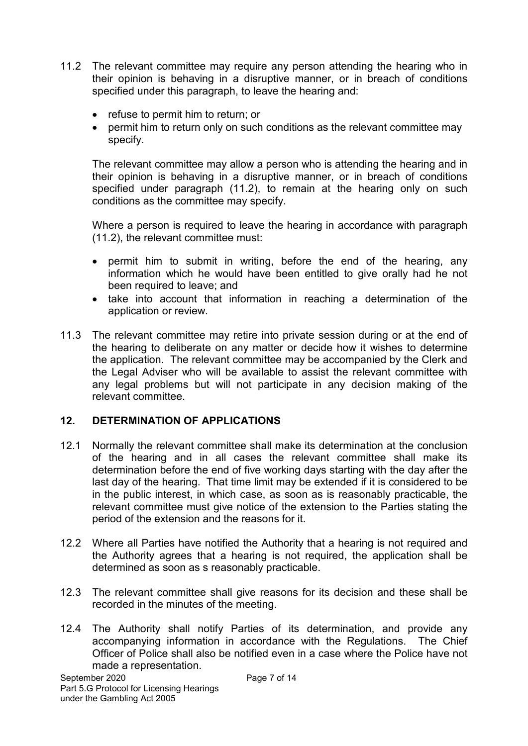- 11.2 The relevant committee may require any person attending the hearing who in their opinion is behaving in a disruptive manner, or in breach of conditions specified under this paragraph, to leave the hearing and:
	- refuse to permit him to return; or
	- permit him to return only on such conditions as the relevant committee may specify.

 The relevant committee may allow a person who is attending the hearing and in their opinion is behaving in a disruptive manner, or in breach of conditions specified under paragraph (11.2), to remain at the hearing only on such conditions as the committee may specify.

Where a person is required to leave the hearing in accordance with paragraph (11.2), the relevant committee must:

- permit him to submit in writing, before the end of the hearing, any information which he would have been entitled to give orally had he not been required to leave; and
- take into account that information in reaching a determination of the application or review.
- 11.3 The relevant committee may retire into private session during or at the end of the hearing to deliberate on any matter or decide how it wishes to determine the application. The relevant committee may be accompanied by the Clerk and the Legal Adviser who will be available to assist the relevant committee with any legal problems but will not participate in any decision making of the relevant committee.

#### **12. DETERMINATION OF APPLICATIONS**

- 12.1 Normally the relevant committee shall make its determination at the conclusion of the hearing and in all cases the relevant committee shall make its determination before the end of five working days starting with the day after the last day of the hearing. That time limit may be extended if it is considered to be in the public interest, in which case, as soon as is reasonably practicable, the relevant committee must give notice of the extension to the Parties stating the period of the extension and the reasons for it.
- 12.2 Where all Parties have notified the Authority that a hearing is not required and the Authority agrees that a hearing is not required, the application shall be determined as soon as s reasonably practicable.
- 12.3 The relevant committee shall give reasons for its decision and these shall be recorded in the minutes of the meeting.
- 12.4 The Authority shall notify Parties of its determination, and provide any accompanying information in accordance with the Regulations. The Chief Officer of Police shall also be notified even in a case where the Police have not made a representation.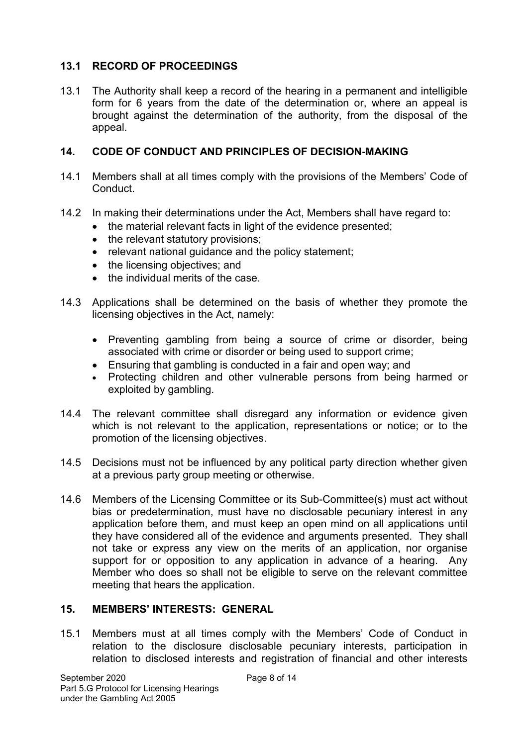## **13.1 RECORD OF PROCEEDINGS**

13.1 The Authority shall keep a record of the hearing in a permanent and intelligible form for 6 years from the date of the determination or, where an appeal is brought against the determination of the authority, from the disposal of the appeal.

#### **14. CODE OF CONDUCT AND PRINCIPLES OF DECISION-MAKING**

- 14.1 Members shall at all times comply with the provisions of the Members' Code of Conduct.
- 14.2 In making their determinations under the Act, Members shall have regard to:
	- the material relevant facts in light of the evidence presented;
	- the relevant statutory provisions:
	- relevant national guidance and the policy statement;
	- the licensing objectives; and
	- the individual merits of the case.
- 14.3 Applications shall be determined on the basis of whether they promote the licensing objectives in the Act, namely:
	- Preventing gambling from being a source of crime or disorder, being associated with crime or disorder or being used to support crime;
	- Ensuring that gambling is conducted in a fair and open way; and
	- Protecting children and other vulnerable persons from being harmed or exploited by gambling.
- 14.4 The relevant committee shall disregard any information or evidence given which is not relevant to the application, representations or notice; or to the promotion of the licensing objectives.
- 14.5 Decisions must not be influenced by any political party direction whether given at a previous party group meeting or otherwise.
- 14.6 Members of the Licensing Committee or its Sub-Committee(s) must act without bias or predetermination, must have no disclosable pecuniary interest in any application before them, and must keep an open mind on all applications until they have considered all of the evidence and arguments presented. They shall not take or express any view on the merits of an application, nor organise support for or opposition to any application in advance of a hearing. Any Member who does so shall not be eligible to serve on the relevant committee meeting that hears the application.

#### **15. MEMBERS' INTERESTS: GENERAL**

15.1 Members must at all times comply with the Members' Code of Conduct in relation to the disclosure disclosable pecuniary interests, participation in relation to disclosed interests and registration of financial and other interests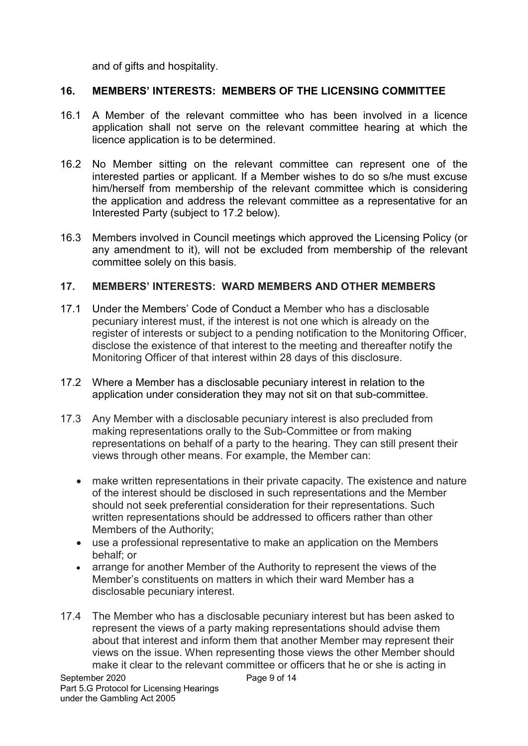and of gifts and hospitality.

#### **16. MEMBERS' INTERESTS: MEMBERS OF THE LICENSING COMMITTEE**

- 16.1 A Member of the relevant committee who has been involved in a licence application shall not serve on the relevant committee hearing at which the licence application is to be determined.
- 16.2 No Member sitting on the relevant committee can represent one of the interested parties or applicant. If a Member wishes to do so s/he must excuse him/herself from membership of the relevant committee which is considering the application and address the relevant committee as a representative for an Interested Party (subject to 17.2 below).
- 16.3 Members involved in Council meetings which approved the Licensing Policy (or any amendment to it), will not be excluded from membership of the relevant committee solely on this basis.

#### **17. MEMBERS' INTERESTS: WARD MEMBERS AND OTHER MEMBERS**

- 17.1 Under the Members' Code of Conduct a Member who has a disclosable pecuniary interest must, if the interest is not one which is already on the register of interests or subject to a pending notification to the Monitoring Officer, disclose the existence of that interest to the meeting and thereafter notify the Monitoring Officer of that interest within 28 days of this disclosure.
- 17.2 Where a Member has a disclosable pecuniary interest in relation to the application under consideration they may not sit on that sub-committee.
- 17.3 Any Member with a disclosable pecuniary interest is also precluded from making representations orally to the Sub-Committee or from making representations on behalf of a party to the hearing. They can still present their views through other means. For example, the Member can:
	- make written representations in their private capacity. The existence and nature of the interest should be disclosed in such representations and the Member should not seek preferential consideration for their representations. Such written representations should be addressed to officers rather than other Members of the Authority;
	- use a professional representative to make an application on the Members behalf; or
	- arrange for another Member of the Authority to represent the views of the Member's constituents on matters in which their ward Member has a disclosable pecuniary interest.
- 17.4 The Member who has a disclosable pecuniary interest but has been asked to represent the views of a party making representations should advise them about that interest and inform them that another Member may represent their views on the issue. When representing those views the other Member should make it clear to the relevant committee or officers that he or she is acting in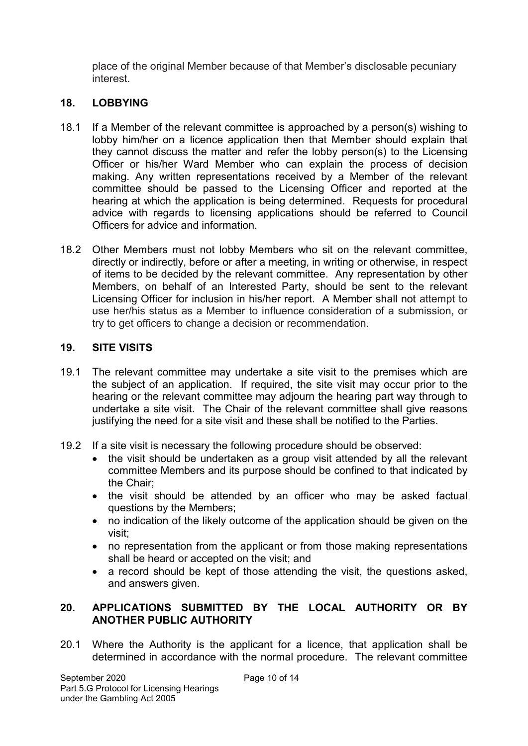place of the original Member because of that Member's disclosable pecuniary interest.

## **18. LOBBYING**

- 18.1 If a Member of the relevant committee is approached by a person(s) wishing to lobby him/her on a licence application then that Member should explain that they cannot discuss the matter and refer the lobby person(s) to the Licensing Officer or his/her Ward Member who can explain the process of decision making. Any written representations received by a Member of the relevant committee should be passed to the Licensing Officer and reported at the hearing at which the application is being determined. Requests for procedural advice with regards to licensing applications should be referred to Council Officers for advice and information.
- 18.2 Other Members must not lobby Members who sit on the relevant committee, directly or indirectly, before or after a meeting, in writing or otherwise, in respect of items to be decided by the relevant committee. Any representation by other Members, on behalf of an Interested Party, should be sent to the relevant Licensing Officer for inclusion in his/her report. A Member shall not attempt to use her/his status as a Member to influence consideration of a submission, or try to get officers to change a decision or recommendation.

## **19. SITE VISITS**

- 19.1 The relevant committee may undertake a site visit to the premises which are the subject of an application. If required, the site visit may occur prior to the hearing or the relevant committee may adjourn the hearing part way through to undertake a site visit. The Chair of the relevant committee shall give reasons justifying the need for a site visit and these shall be notified to the Parties.
- 19.2 If a site visit is necessary the following procedure should be observed:
	- the visit should be undertaken as a group visit attended by all the relevant committee Members and its purpose should be confined to that indicated by the Chair;
	- the visit should be attended by an officer who may be asked factual questions by the Members;
	- no indication of the likely outcome of the application should be given on the visit;
	- no representation from the applicant or from those making representations shall be heard or accepted on the visit; and
	- a record should be kept of those attending the visit, the questions asked, and answers given.

#### **20. APPLICATIONS SUBMITTED BY THE LOCAL AUTHORITY OR BY ANOTHER PUBLIC AUTHORITY**

20.1 Where the Authority is the applicant for a licence, that application shall be determined in accordance with the normal procedure. The relevant committee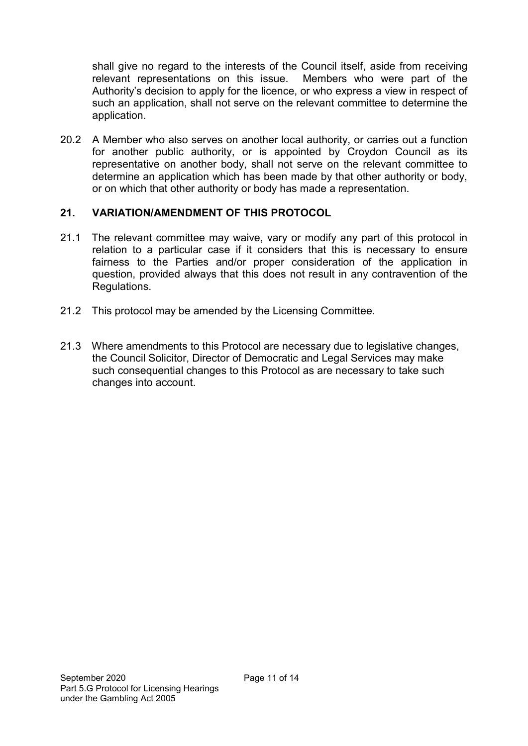shall give no regard to the interests of the Council itself, aside from receiving relevant representations on this issue. Members who were part of the Authority's decision to apply for the licence, or who express a view in respect of such an application, shall not serve on the relevant committee to determine the application.

20.2 A Member who also serves on another local authority, or carries out a function for another public authority, or is appointed by Croydon Council as its representative on another body, shall not serve on the relevant committee to determine an application which has been made by that other authority or body, or on which that other authority or body has made a representation.

## **21. VARIATION/AMENDMENT OF THIS PROTOCOL**

- 21.1 The relevant committee may waive, vary or modify any part of this protocol in relation to a particular case if it considers that this is necessary to ensure fairness to the Parties and/or proper consideration of the application in question, provided always that this does not result in any contravention of the Regulations.
- 21.2 This protocol may be amended by the Licensing Committee.
- 21.3 Where amendments to this Protocol are necessary due to legislative changes, the Council Solicitor, Director of Democratic and Legal Services may make such consequential changes to this Protocol as are necessary to take such changes into account.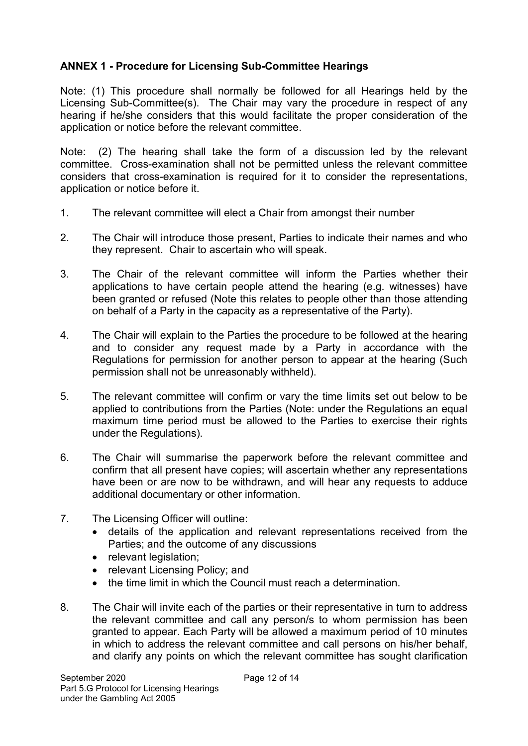# **ANNEX 1 - Procedure for Licensing Sub-Committee Hearings**

Note: (1) This procedure shall normally be followed for all Hearings held by the Licensing Sub-Committee(s). The Chair may vary the procedure in respect of any hearing if he/she considers that this would facilitate the proper consideration of the application or notice before the relevant committee.

Note: (2) The hearing shall take the form of a discussion led by the relevant committee. Cross-examination shall not be permitted unless the relevant committee considers that cross-examination is required for it to consider the representations, application or notice before it.

- 1. The relevant committee will elect a Chair from amongst their number
- 2. The Chair will introduce those present, Parties to indicate their names and who they represent. Chair to ascertain who will speak.
- 3. The Chair of the relevant committee will inform the Parties whether their applications to have certain people attend the hearing (e.g. witnesses) have been granted or refused (Note this relates to people other than those attending on behalf of a Party in the capacity as a representative of the Party).
- 4. The Chair will explain to the Parties the procedure to be followed at the hearing and to consider any request made by a Party in accordance with the Regulations for permission for another person to appear at the hearing (Such permission shall not be unreasonably withheld).
- 5. The relevant committee will confirm or vary the time limits set out below to be applied to contributions from the Parties (Note: under the Regulations an equal maximum time period must be allowed to the Parties to exercise their rights under the Regulations).
- 6. The Chair will summarise the paperwork before the relevant committee and confirm that all present have copies; will ascertain whether any representations have been or are now to be withdrawn, and will hear any requests to adduce additional documentary or other information.
- 7. The Licensing Officer will outline:
	- details of the application and relevant representations received from the Parties; and the outcome of any discussions
	- relevant legislation;
	- relevant Licensing Policy: and
	- the time limit in which the Council must reach a determination.
- 8. The Chair will invite each of the parties or their representative in turn to address the relevant committee and call any person/s to whom permission has been granted to appear. Each Party will be allowed a maximum period of 10 minutes in which to address the relevant committee and call persons on his/her behalf, and clarify any points on which the relevant committee has sought clarification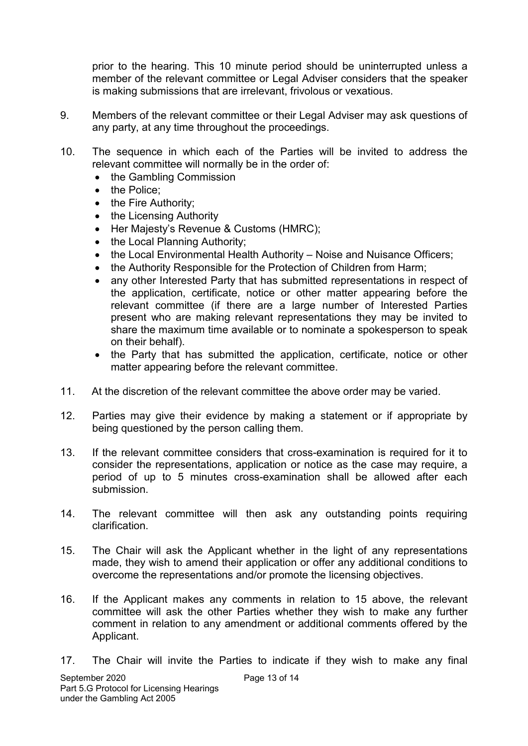prior to the hearing. This 10 minute period should be uninterrupted unless a member of the relevant committee or Legal Adviser considers that the speaker is making submissions that are irrelevant, frivolous or vexatious.

- 9. Members of the relevant committee or their Legal Adviser may ask questions of any party, at any time throughout the proceedings.
- 10. The sequence in which each of the Parties will be invited to address the relevant committee will normally be in the order of:
	- the Gambling Commission
	- the Police:
	- the Fire Authority;
	- the Licensing Authority
	- Her Majesty's Revenue & Customs (HMRC);
	- the Local Planning Authority;
	- the Local Environmental Health Authority Noise and Nuisance Officers;
	- the Authority Responsible for the Protection of Children from Harm:
	- any other Interested Party that has submitted representations in respect of the application, certificate, notice or other matter appearing before the relevant committee (if there are a large number of Interested Parties present who are making relevant representations they may be invited to share the maximum time available or to nominate a spokesperson to speak on their behalf).
	- the Party that has submitted the application, certificate, notice or other matter appearing before the relevant committee.
- 11. At the discretion of the relevant committee the above order may be varied.
- 12. Parties may give their evidence by making a statement or if appropriate by being questioned by the person calling them.
- 13. If the relevant committee considers that cross-examination is required for it to consider the representations, application or notice as the case may require, a period of up to 5 minutes cross-examination shall be allowed after each submission.
- 14. The relevant committee will then ask any outstanding points requiring clarification.
- 15. The Chair will ask the Applicant whether in the light of any representations made, they wish to amend their application or offer any additional conditions to overcome the representations and/or promote the licensing objectives.
- 16. If the Applicant makes any comments in relation to 15 above, the relevant committee will ask the other Parties whether they wish to make any further comment in relation to any amendment or additional comments offered by the Applicant.
- 17. The Chair will invite the Parties to indicate if they wish to make any final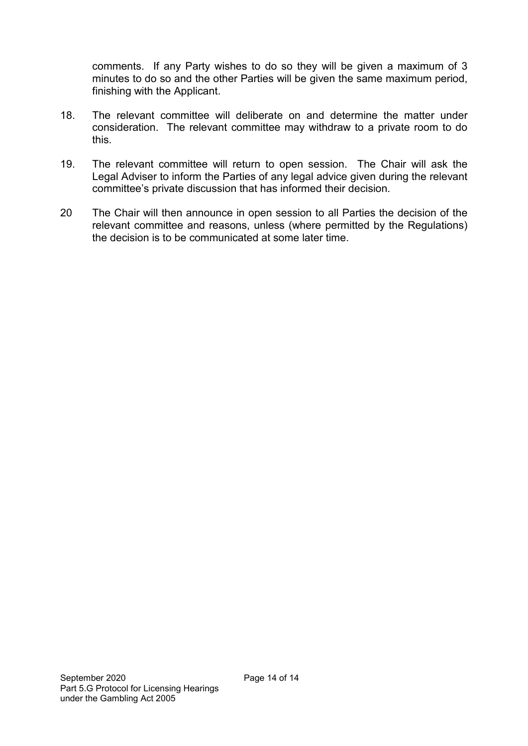comments. If any Party wishes to do so they will be given a maximum of 3 minutes to do so and the other Parties will be given the same maximum period, finishing with the Applicant.

- 18. The relevant committee will deliberate on and determine the matter under consideration. The relevant committee may withdraw to a private room to do this.
- 19. The relevant committee will return to open session. The Chair will ask the Legal Adviser to inform the Parties of any legal advice given during the relevant committee's private discussion that has informed their decision.
- 20 The Chair will then announce in open session to all Parties the decision of the relevant committee and reasons, unless (where permitted by the Regulations) the decision is to be communicated at some later time.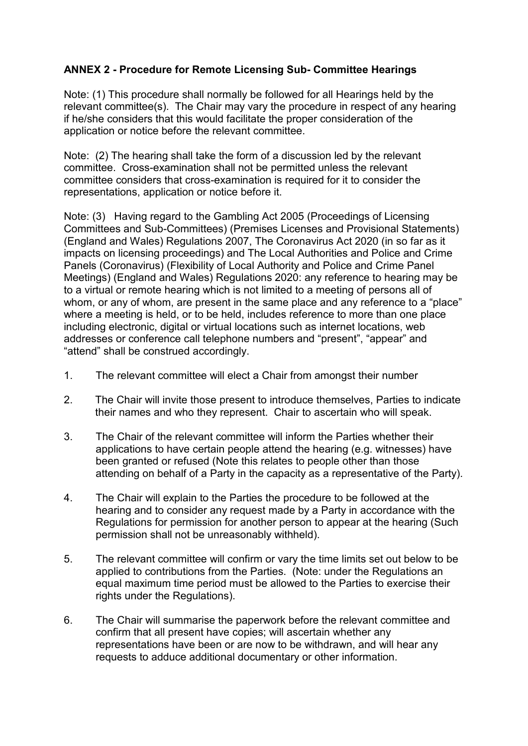## **ANNEX 2 - Procedure for Remote Licensing Sub- Committee Hearings**

Note: (1) This procedure shall normally be followed for all Hearings held by the relevant committee(s). The Chair may vary the procedure in respect of any hearing if he/she considers that this would facilitate the proper consideration of the application or notice before the relevant committee.

Note: (2) The hearing shall take the form of a discussion led by the relevant committee. Cross-examination shall not be permitted unless the relevant committee considers that cross-examination is required for it to consider the representations, application or notice before it.

Note: (3) Having regard to the Gambling Act 2005 (Proceedings of Licensing Committees and Sub-Committees) (Premises Licenses and Provisional Statements) (England and Wales) Regulations 2007, The Coronavirus Act 2020 (in so far as it impacts on licensing proceedings) and The Local Authorities and Police and Crime Panels (Coronavirus) (Flexibility of Local Authority and Police and Crime Panel Meetings) (England and Wales) Regulations 2020: any reference to hearing may be to a virtual or remote hearing which is not limited to a meeting of persons all of whom, or any of whom, are present in the same place and any reference to a "place" where a meeting is held, or to be held, includes reference to more than one place including electronic, digital or virtual locations such as internet locations, web addresses or conference call telephone numbers and "present", "appear" and "attend" shall be construed accordingly.

- 1. The relevant committee will elect a Chair from amongst their number
- 2. The Chair will invite those present to introduce themselves, Parties to indicate their names and who they represent. Chair to ascertain who will speak.
- 3. The Chair of the relevant committee will inform the Parties whether their applications to have certain people attend the hearing (e.g. witnesses) have been granted or refused (Note this relates to people other than those attending on behalf of a Party in the capacity as a representative of the Party).
- 4. The Chair will explain to the Parties the procedure to be followed at the hearing and to consider any request made by a Party in accordance with the Regulations for permission for another person to appear at the hearing (Such permission shall not be unreasonably withheld).
- 5. The relevant committee will confirm or vary the time limits set out below to be applied to contributions from the Parties. (Note: under the Regulations an equal maximum time period must be allowed to the Parties to exercise their rights under the Regulations).
- 6. The Chair will summarise the paperwork before the relevant committee and confirm that all present have copies; will ascertain whether any representations have been or are now to be withdrawn, and will hear any requests to adduce additional documentary or other information.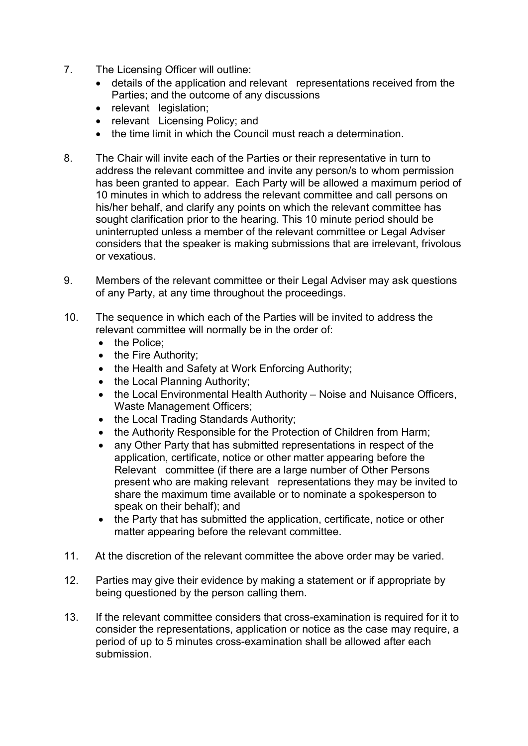- 7. The Licensing Officer will outline:
	- details of the application and relevant representations received from the Parties; and the outcome of any discussions
	- relevant legislation;
	- relevant Licensing Policy; and
	- the time limit in which the Council must reach a determination
- 8. The Chair will invite each of the Parties or their representative in turn to address the relevant committee and invite any person/s to whom permission has been granted to appear. Each Party will be allowed a maximum period of 10 minutes in which to address the relevant committee and call persons on his/her behalf, and clarify any points on which the relevant committee has sought clarification prior to the hearing. This 10 minute period should be uninterrupted unless a member of the relevant committee or Legal Adviser considers that the speaker is making submissions that are irrelevant, frivolous or vexatious.
- 9. Members of the relevant committee or their Legal Adviser may ask questions of any Party, at any time throughout the proceedings.
- 10. The sequence in which each of the Parties will be invited to address the relevant committee will normally be in the order of:
	- the Police:
	- the Fire Authority;
	- the Health and Safety at Work Enforcing Authority;
	- the Local Planning Authority;
	- the Local Environmental Health Authority Noise and Nuisance Officers, Waste Management Officers;
	- the Local Trading Standards Authority;
	- the Authority Responsible for the Protection of Children from Harm:
	- any Other Party that has submitted representations in respect of the application, certificate, notice or other matter appearing before the Relevant committee (if there are a large number of Other Persons present who are making relevant representations they may be invited to share the maximum time available or to nominate a spokesperson to speak on their behalf); and
	- the Party that has submitted the application, certificate, notice or other matter appearing before the relevant committee.
- 11. At the discretion of the relevant committee the above order may be varied.
- 12. Parties may give their evidence by making a statement or if appropriate by being questioned by the person calling them.
- 13. If the relevant committee considers that cross-examination is required for it to consider the representations, application or notice as the case may require, a period of up to 5 minutes cross-examination shall be allowed after each submission.